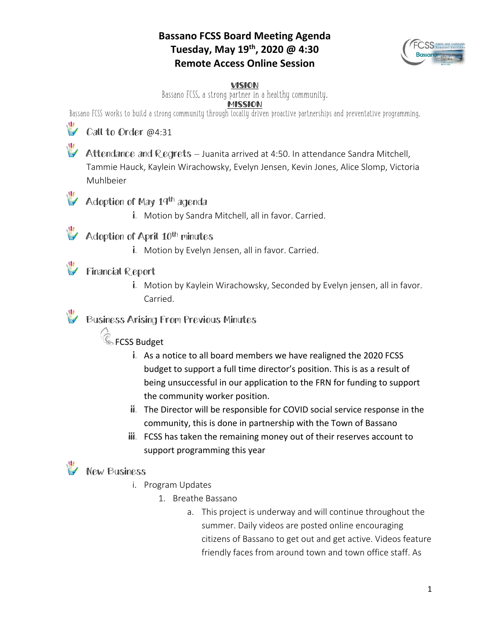## **Bassano FCSS Board Meeting Agenda Tuesday, May 19th, 2020 @ 4:30 Remote Access Online Session**



#### VISION

Bassano FCSS, a strong partner in a healthy community.

#### **MISSION**

Bassano FCSS works to build a strong community through locally driven proactive partnerships and preventative programming.

## Call to Order @4:31

Attendance and  $Regrets - Juanita$  arrived at 4:50. In attendance Sandra Mitchell, Tammie Hauck, Kaylein Wirachowsky, Evelyn Jensen, Kevin Jones, Alice Slomp, Victoria Muhlbeier

#### Adoption of May 19th agenda

i. Motion by Sandra Mitchell, all in favor. Carried.

#### Adoption of April 10th minutes

i. Motion by Evelyn Jensen, all in favor. Carried.

### Financial Report

i. Motion by Kaylein Wirachowsky, Seconded by Evelyn jensen, all in favor. Carried.

## Business Arising From Previous Minutes

# **C** FCSS Budget

- i. As a notice to all board members we have realigned the 2020 FCSS budget to support a full time director's position. This is as a result of being unsuccessful in our application to the FRN for funding to support the community worker position.
- ii. The Director will be responsible for COVID social service response in the community, this is done in partnership with the Town of Bassano
- iii. FCSS has taken the remaining money out of their reserves account to support programming this year

#### Wew Business

- i. Program Updates
	- 1. Breathe Bassano
		- a. This project is underway and will continue throughout the summer. Daily videos are posted online encouraging citizens of Bassano to get out and get active. Videos feature friendly faces from around town and town office staff. As